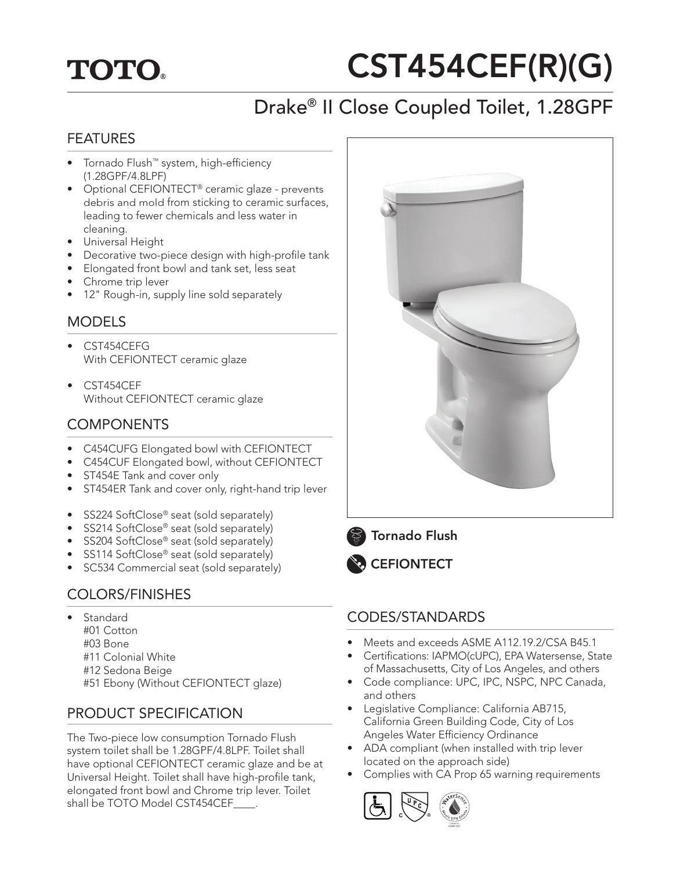## **TOTO.**

# CST454CEF(R)(G)

## Drake® II Close Coupled Toilet, 1.28GPF

#### FEATURES

- Tornado Flush™ system, high-efficiency (1.28GPF/4.8LPF)
- Optional CEFIONTECT<sup>®</sup> ceramic glaze prevents debris and mold from sticking to ceramic surfaces, leading to fewer chemicals and less water in cleaning.
- Universal Height
- Decorative two-piece design with high-profile tank
- Elongated front bowl and tank set, less seat
- Chrome trip lever
- 12" Rough-in, supply line sold separately

#### **MODELS**

- CST454CEFG With CEFIONTECT ceramic glaze
- CST454CEF Without CEFIONTECT ceramic glaze

#### **COMPONENTS**

- C454CUFG Elongated bowl with CEFIONTECT
- C454CUF Elongated bowl, without CEFIONTECT
- ST454E Tank and cover only
- ST454ER Tank and cover only, right-hand trip lever
- SS224 SoftClose® seat (sold separately)
- SS214 SoftClose® seat (sold separately)
- SS204 SoftClose® seat (sold separately)
- SS114 SoftClose® seat (sold separately)
- SC534 Commercial seat (sold separately)

#### COLORS/FINISHES

- **Standard** 
	- #01 Cotton
	- #03 Bone
	- #11 Colonial White
	- #12 Sedona Beige
	- #51 Ebony (Without CEFIONTECT glaze)

#### PRODUCT SPECIFICATION

The Two-piece low consumption Tornado Flush system toilet shall be 1.28GPF/4.8LPF. Toilet shall have optional CEFIONTECT ceramic glaze and be at Universal Height. Toilet shall have high-profile tank, elongated front bowl and Chrome trip lever. Toilet shall be TOTO Model CST454CEF\_\_\_\_.



## Tornado Flush



#### CODES/STANDARDS

- Meets and exceeds ASME A112.19.2/CSA B45.1
- Certifications: IAPMO(cUPC), EPA Watersense, State of Massachusetts, City of Los Angeles, and others
- Code compliance: UPC, IPC, NSPC, NPC Canada, and others
- Legislative Compliance: California AB715, California Green Building Code, City of Los Angeles Water Efficiency Ordinance
- ADA compliant (when installed with trip lever located on the approach side)
- Complies with CA Prop 65 warning requirements